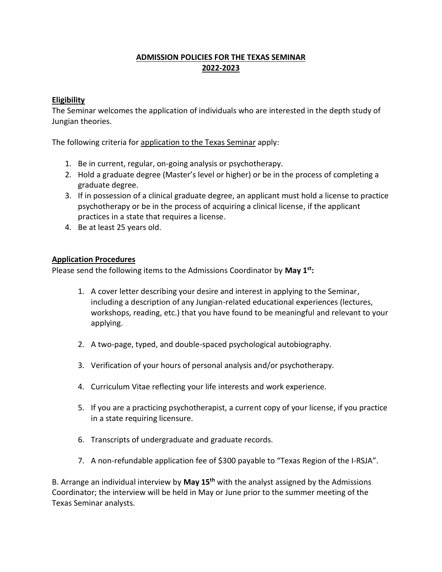## **ADMISSION POLICIES FOR THE TEXAS SEMINAR 2022-2023**

## **Eligibility**

The Seminar welcomes the application of individuals who are interested in the depth study of Jungian theories.

The following criteria for application to the Texas Seminar apply:

- 1. Be in current, regular, on-going analysis or psychotherapy.
- 2. Hold a graduate degree (Master's level or higher) or be in the process of completing a graduate degree.
- 3. If in possession of a clinical graduate degree, an applicant must hold a license to practice psychotherapy or be in the process of acquiring a clinical license, if the applicant practices in a state that requires a license.
- 4. Be at least 25 years old.

## **Application Procedures**

Please send the following items to the Admissions Coordinator by **May 1st:**

- 1. A cover letter describing your desire and interest in applying to the Seminar, including a description of any Jungian-related educational experiences (lectures, workshops, reading, etc.) that you have found to be meaningful and relevant to your applying.
- 2. A two-page, typed, and double-spaced psychological autobiography.
- 3. Verification of your hours of personal analysis and/or psychotherapy.
- 4. Curriculum Vitae reflecting your life interests and work experience.
- 5. If you are a practicing psychotherapist, a current copy of your license, if you practice in a state requiring licensure.
- 6. Transcripts of undergraduate and graduate records.
- 7. A non-refundable application fee of \$300 payable to "Texas Region of the I-RSJA".

B. Arrange an individual interview by **May 15th** with the analyst assigned by the Admissions Coordinator; the interview will be held in May or June prior to the summer meeting of the Texas Seminar analysts.